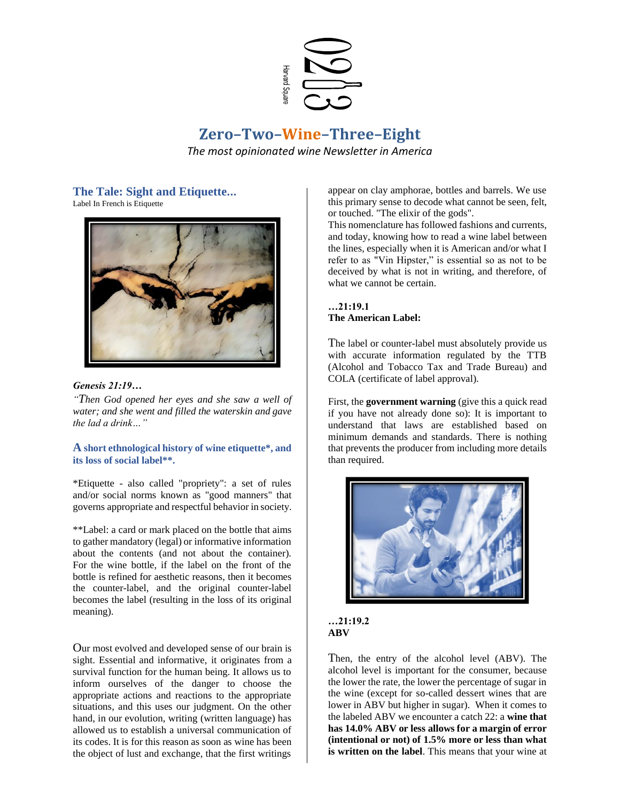

# **Zero–Two–Wine–Three–Eight** *The most opinionated wine Newsletter in America*

# **The Tale: Sight and Etiquette...**

Label In French is Etiquette



*Genesis 21:19…*

*"Then God opened her eyes and she saw a well of water; and she went and filled the waterskin and gave the lad a drink…"*

### **A short ethnological history of wine etiquette\*, and its loss of social label\*\*.**

\*Etiquette - also called "propriety": a set of rules and/or social norms known as "good manners" that governs appropriate and respectful behavior in society.

\*\*Label: a card or mark placed on the bottle that aims to gather mandatory (legal) or informative information about the contents (and not about the container). For the wine bottle, if the label on the front of the bottle is refined for aesthetic reasons, then it becomes the counter-label, and the original counter-label becomes the label (resulting in the loss of its original meaning).

Our most evolved and developed sense of our brain is sight. Essential and informative, it originates from a survival function for the human being. It allows us to inform ourselves of the danger to choose the appropriate actions and reactions to the appropriate situations, and this uses our judgment. On the other hand, in our evolution, writing (written language) has allowed us to establish a universal communication of its codes. It is for this reason as soon as wine has been the object of lust and exchange, that the first writings appear on clay amphorae, bottles and barrels. We use this primary sense to decode what cannot be seen, felt, or touched. "The elixir of the gods".

This nomenclature has followed fashions and currents, and today, knowing how to read a wine label between the lines, especially when it is American and/or what I refer to as "Vin Hipster," is essential so as not to be deceived by what is not in writing, and therefore, of what we cannot be certain.

**…21:19.1 The American Label:** 

The label or counter-label must absolutely provide us with accurate information regulated by the TTB (Alcohol and Tobacco Tax and Trade Bureau) and COLA (certificate of label approval).

First, the **government warning** (give this a quick read if you have not already done so): It is important to understand that laws are established based on minimum demands and standards. There is nothing that prevents the producer from including more details than required.





Then, the entry of the alcohol level (ABV). The alcohol level is important for the consumer, because the lower the rate, the lower the percentage of sugar in the wine (except for so-called dessert wines that are lower in ABV but higher in sugar). When it comes to the labeled ABV we encounter a catch 22: a **wine that has 14.0% ABV or less allows for a margin of error (intentional or not) of 1.5% more or less than what is written on the label**. This means that your wine at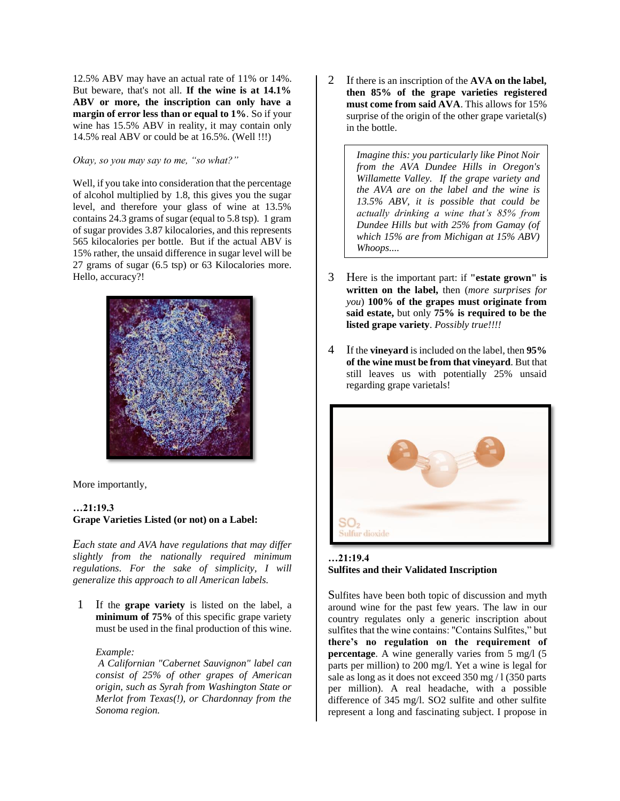12.5% ABV may have an actual rate of 11% or 14%. But beware, that's not all. **If the wine is at 14.1% ABV or more, the inscription can only have a margin of error less than or equal to 1%**. So if your wine has 15.5% ABV in reality, it may contain only 14.5% real ABV or could be at 16.5%. (Well !!!)

*Okay, so you may say to me, "so what?"*

Well, if you take into consideration that the percentage of alcohol multiplied by 1.8, this gives you the sugar level, and therefore your glass of wine at 13.5% contains 24.3 grams of sugar (equal to 5.8 tsp). 1 gram of sugar provides 3.87 kilocalories, and this represents 565 kilocalories per bottle. But if the actual ABV is 15% rather, the unsaid difference in sugar level will be 27 grams of sugar (6.5 tsp) or 63 Kilocalories more. Hello, accuracy?!



More importantly,

### **…21:19.3 Grape Varieties Listed (or not) on a Label:**

*Each state and AVA have regulations that may differ slightly from the nationally required minimum regulations. For the sake of simplicity, I will generalize this approach to all American labels.*

1 If the **grape variety** is listed on the label, a **minimum of 75%** of this specific grape variety must be used in the final production of this wine.

### *Example:*

*A Californian "Cabernet Sauvignon" label can consist of 25% of other grapes of American origin, such as Syrah from Washington State or Merlot from Texas(!), or Chardonnay from the Sonoma region.*

2 If there is an inscription of the **AVA on the label, then 85% of the grape varieties registered must come from said AVA**. This allows for 15% surprise of the origin of the other grape varietal(s) in the bottle.

> *Imagine this: you particularly like Pinot Noir from the AVA Dundee Hills in Oregon's Willamette Valley. If the grape variety and the AVA are on the label and the wine is 13.5% ABV, it is possible that could be actually drinking a wine that's 85% from Dundee Hills but with 25% from Gamay (of which 15% are from Michigan at 15% ABV) Whoops....*

- 3 Here is the important part: if **"estate grown" is written on the label,** then (*more surprises for you*) **100% of the grapes must originate from said estate,** but only **75% is required to be the listed grape variety**. *Possibly true!!!!*
- 4 If the **vineyard**is included on the label, then **95% of the wine must be from that vineyard**. But that still leaves us with potentially 25% unsaid regarding grape varietals!



### **…21:19.4 Sulfites and their Validated Inscription**

Sulfites have been both topic of discussion and myth around wine for the past few years. The law in our country regulates only a generic inscription about sulfites that the wine contains: "Contains Sulfites," but **there's no regulation on the requirement of percentage**. A wine generally varies from 5 mg/l (5) parts per million) to 200 mg/l. Yet a wine is legal for sale as long as it does not exceed 350 mg / l (350 parts) per million). A real headache, with a possible difference of 345 mg/l. SO2 sulfite and other sulfite represent a long and fascinating subject. I propose in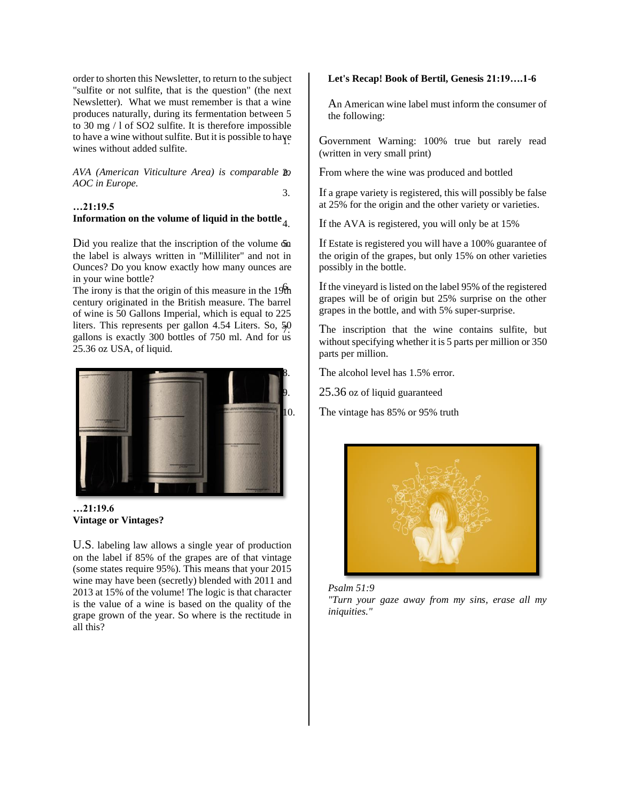order to shorten this Newsletter, to return to the subject "sulfite or not sulfite, that is the question" (the next Newsletter). What we must remember is that a wine produces naturally, during its fermentation between 5 to 30 mg / l of SO2 sulfite. It is therefore impossible to have a wine without sulfite. But it is possible to have wines without added sulfite.

*AVA (American Viticulture Area) is comparable to AOC in Europe.*

## **…21:19.5 Information on the volume of liquid in the bottle**

Did you realize that the inscription of the volume on the label is always written in "Milliliter" and not in Ounces? Do you know exactly how many ounces are in your wine bottle?

The irony is that the origin of this measure in the  $19th$ century originated in the British measure. The barrel of wine is 50 Gallons Imperial, which is equal to 225 liters. This represents per gallon 4.54 Liters. So, 50 gallons is exactly 300 bottles of 750 ml. And for us 25.36 oz USA, of liquid.



**…21:19.6 Vintage or Vintages?** 

U.S. labeling law allows a single year of production on the label if 85% of the grapes are of that vintage (some states require 95%). This means that your 2015 wine may have been (secretly) blended with 2011 and 2013 at 15% of the volume! The logic is that character is the value of a wine is based on the quality of the grape grown of the year. So where is the rectitude in all this?

### **Let's Recap! Book of Bertil, Genesis 21:19….1-6**

An American wine label must inform the consumer of the following:

Government Warning: 100% true but rarely read (written in very small print)

From where the wine was produced and bottled

3. If a grape variety is registered, this will possibly be false at 25% for the origin and the other variety or varieties.

If the AVA is registered, you will only be at 15%

If Estate is registered you will have a 100% guarantee of the origin of the grapes, but only 15% on other varieties possibly in the bottle.

If the vineyard is listed on the label 95% of the registered grapes will be of origin but 25% surprise on the other grapes in the bottle, and with 5% super-surprise.

The inscription that the wine contains sulfite, but without specifying whether it is 5 parts per million or 350 parts per million.

The alcohol level has 1.5% error.

25.36 oz of liquid guaranteed

10. The vintage has 85% or 95% truth





*"Turn your gaze away from my sins, erase all my iniquities."*